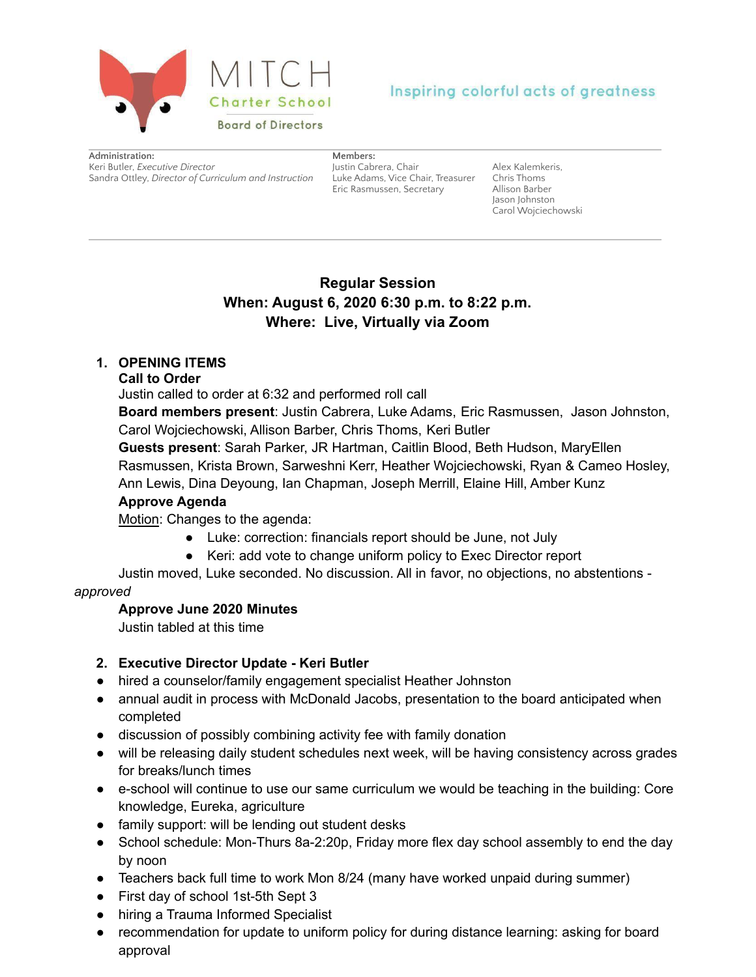

# Inspiring colorful acts of greatness

**Administration:** Keri Butler, *Executive Director* Sandra Ottley, *Director of Curriculum and Instruction* Luke Adams, Vice Chair, Treasurer

**Members:**

Justin Cabrera, Chair Eric Rasmussen, Secretary

Alex Kalemkeris, Chris Thoms Allison Barber Jason Johnston Carol Wojciechowski

# **Regular Session When: August 6, 2020 6:30 p.m. to 8:22 p.m. Where: Live, Virtually via Zoom**

# **1. OPENING ITEMS**

### **Call to Order**

Justin called to order at 6:32 and performed roll call

**Board members present**: Justin Cabrera, Luke Adams, Eric Rasmussen, Jason Johnston, Carol Wojciechowski, Allison Barber, Chris Thoms, Keri Butler

**Guests present**: Sarah Parker, JR Hartman, Caitlin Blood, Beth Hudson, MaryEllen Rasmussen, Krista Brown, Sarweshni Kerr, Heather Wojciechowski, Ryan & Cameo Hosley, Ann Lewis, Dina Deyoung, Ian Chapman, Joseph Merrill, Elaine Hill, Amber Kunz

# **Approve Agenda**

Motion: Changes to the agenda:

- Luke: correction: financials report should be June, not July
- Keri: add vote to change uniform policy to Exec Director report

Justin moved, Luke seconded. No discussion. All in favor, no objections, no abstentions *approved*

### **Approve June 2020 Minutes**

Justin tabled at this time

# **2. Executive Director Update - Keri Butler**

- hired a counselor/family engagement specialist Heather Johnston
- annual audit in process with McDonald Jacobs, presentation to the board anticipated when completed
- discussion of possibly combining activity fee with family donation
- will be releasing daily student schedules next week, will be having consistency across grades for breaks/lunch times
- e-school will continue to use our same curriculum we would be teaching in the building: Core knowledge, Eureka, agriculture
- family support: will be lending out student desks
- School schedule: Mon-Thurs 8a-2:20p, Friday more flex day school assembly to end the day by noon
- Teachers back full time to work Mon 8/24 (many have worked unpaid during summer)
- First day of school 1st-5th Sept 3
- hiring a Trauma Informed Specialist
- recommendation for update to uniform policy for during distance learning: asking for board approval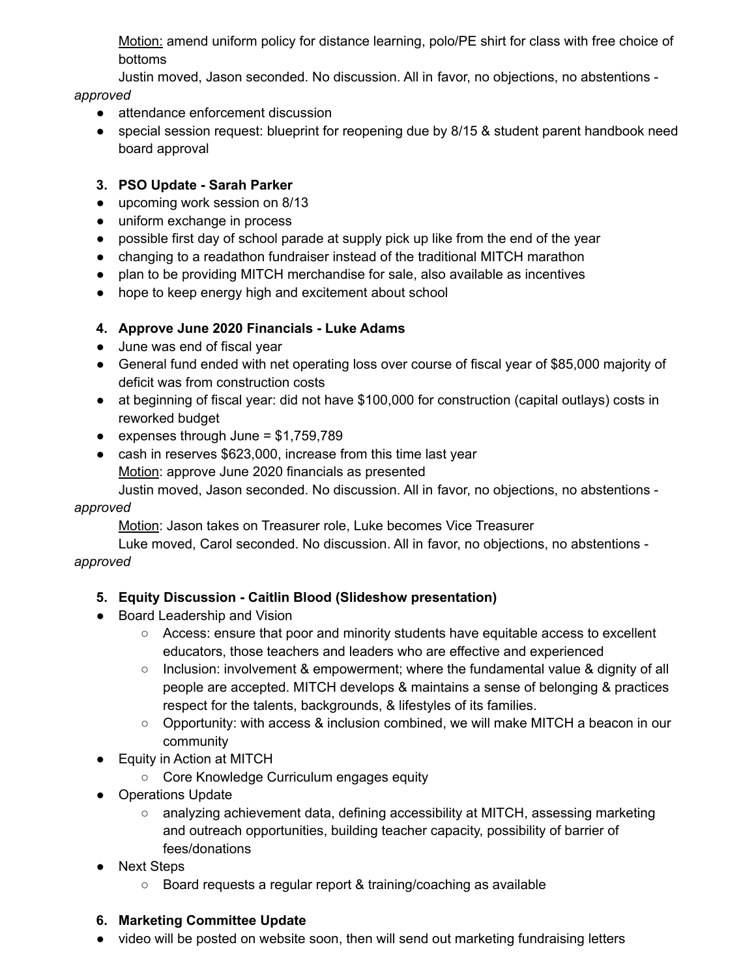Motion: amend uniform policy for distance learning, polo/PE shirt for class with free choice of bottoms

Justin moved, Jason seconded. No discussion. All in favor, no objections, no abstentions -

#### *approved*

- attendance enforcement discussion
- special session request: blueprint for reopening due by 8/15 & student parent handbook need board approval

## **3. PSO Update - Sarah Parker**

- upcoming work session on 8/13
- uniform exchange in process
- possible first day of school parade at supply pick up like from the end of the year
- changing to a readathon fundraiser instead of the traditional MITCH marathon
- plan to be providing MITCH merchandise for sale, also available as incentives
- hope to keep energy high and excitement about school

## **4. Approve June 2020 Financials - Luke Adams**

- June was end of fiscal year
- General fund ended with net operating loss over course of fiscal year of \$85,000 majority of deficit was from construction costs
- at beginning of fiscal year: did not have \$100,000 for construction (capital outlays) costs in reworked budget
- $\bullet$  expenses through June = \$1,759,789
- cash in reserves \$623,000, increase from this time last year Motion: approve June 2020 financials as presented

Justin moved, Jason seconded. No discussion. All in favor, no objections, no abstentions -

### *approved*

Motion: Jason takes on Treasurer role, Luke becomes Vice Treasurer

Luke moved, Carol seconded. No discussion. All in favor, no objections, no abstentions *approved*

# **5. Equity Discussion - Caitlin Blood (Slideshow presentation)**

- Board Leadership and Vision
	- Access: ensure that poor and minority students have equitable access to excellent educators, those teachers and leaders who are effective and experienced
	- Inclusion: involvement & empowerment; where the fundamental value & dignity of all people are accepted. MITCH develops & maintains a sense of belonging & practices respect for the talents, backgrounds, & lifestyles of its families.
	- $\circ$  Opportunity: with access & inclusion combined, we will make MITCH a beacon in our community
- Equity in Action at MITCH
	- Core Knowledge Curriculum engages equity
- Operations Update
	- analyzing achievement data, defining accessibility at MITCH, assessing marketing and outreach opportunities, building teacher capacity, possibility of barrier of fees/donations
- Next Steps
	- Board requests a regular report & training/coaching as available

### **6. Marketing Committee Update**

• video will be posted on website soon, then will send out marketing fundraising letters